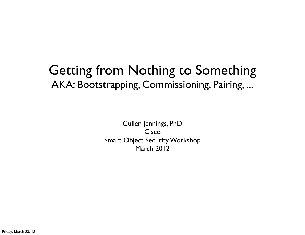#### Getting from Nothing to Something AKA: Bootstrapping, Commissioning, Pairing, ...

Cullen Jennings, PhD Cisco Smart Object Security Workshop March 2012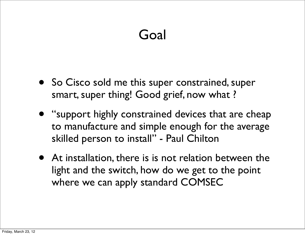# Goal

- So Cisco sold me this super constrained, super smart, super thing! Good grief, now what ?
- "support highly constrained devices that are cheap to manufacture and simple enough for the average skilled person to install" - Paul Chilton
- At installation, there is is not relation between the light and the switch, how do we get to the point where we can apply standard COMSEC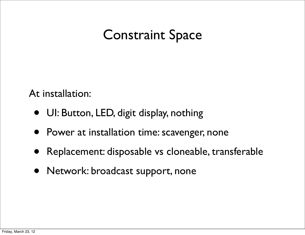# Constraint Space

At installation:

- UI: Button, LED, digit display, nothing
- Power at installation time: scavenger, none
- Replacement: disposable vs cloneable, transferable
- Network: broadcast support, none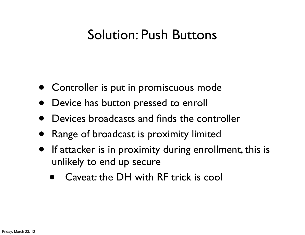# Solution: Push Buttons

- Controller is put in promiscuous mode
- Device has button pressed to enroll
- Devices broadcasts and finds the controller
- Range of broadcast is proximity limited
- If attacker is in proximity during enrollment, this is unlikely to end up secure
	- Caveat: the DH with RF trick is cool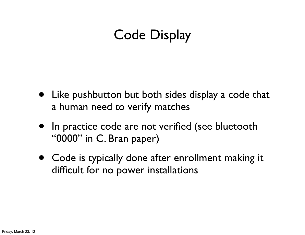# Code Display

- Like pushbutton but both sides display a code that a human need to verify matches
- In practice code are not verified (see bluetooth "0000" in C. Bran paper)
- Code is typically done after enrollment making it difficult for no power installations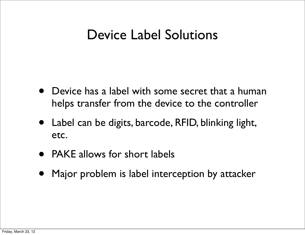#### Device Label Solutions

- Device has a label with some secret that a human helps transfer from the device to the controller
- Label can be digits, barcode, RFID, blinking light, etc.
- PAKE allows for short labels
- Major problem is label interception by attacker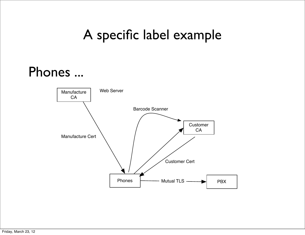# A specific label example

# Phones ...

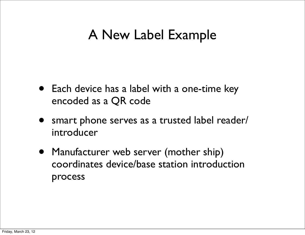# A New Label Example

- Each device has a label with a one-time key encoded as a QR code
- smart phone serves as a trusted label reader/ introducer
- Manufacturer web server (mother ship) coordinates device/base station introduction process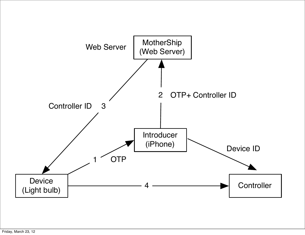